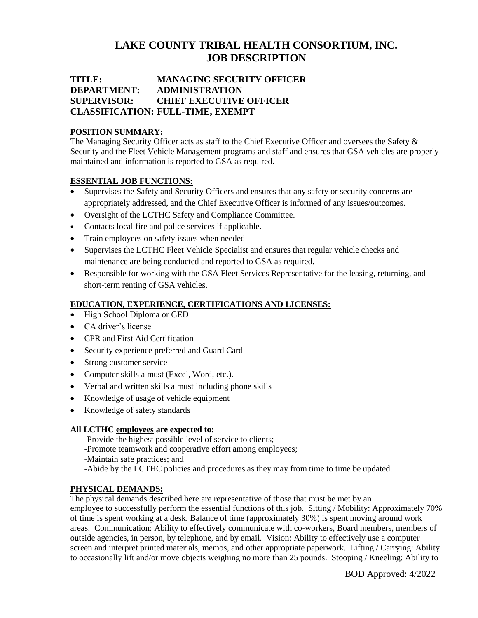# **LAKE COUNTY TRIBAL HEALTH CONSORTIUM, INC. JOB DESCRIPTION**

## **TITLE: MANAGING SECURITY OFFICER DEPARTMENT: ADMINISTRATION SUPERVISOR: CHIEF EXECUTIVE OFFICER CLASSIFICATION: FULL-TIME, EXEMPT**

## **POSITION SUMMARY:**

The Managing Security Officer acts as staff to the Chief Executive Officer and oversees the Safety & Security and the Fleet Vehicle Management programs and staff and ensures that GSA vehicles are properly maintained and information is reported to GSA as required.

## **ESSENTIAL JOB FUNCTIONS:**

- Supervises the Safety and Security Officers and ensures that any safety or security concerns are appropriately addressed, and the Chief Executive Officer is informed of any issues/outcomes.
- Oversight of the LCTHC Safety and Compliance Committee.
- Contacts local fire and police services if applicable.
- Train employees on safety issues when needed
- Supervises the LCTHC Fleet Vehicle Specialist and ensures that regular vehicle checks and maintenance are being conducted and reported to GSA as required.
- Responsible for working with the GSA Fleet Services Representative for the leasing, returning, and short-term renting of GSA vehicles.

## **EDUCATION, EXPERIENCE, CERTIFICATIONS AND LICENSES:**

- High School Diploma or GED
- CA driver's license
- CPR and First Aid Certification
- Security experience preferred and Guard Card
- Strong customer service
- Computer skills a must (Excel, Word, etc.).
- Verbal and written skills a must including phone skills
- Knowledge of usage of vehicle equipment
- Knowledge of safety standards

## **All LCTHC employees are expected to:**

-Provide the highest possible level of service to clients;

- -Promote teamwork and cooperative effort among employees;
- -Maintain safe practices; and
- -Abide by the LCTHC policies and procedures as they may from time to time be updated.

## **PHYSICAL DEMANDS:**

The physical demands described here are representative of those that must be met by an employee to successfully perform the essential functions of this job. Sitting / Mobility: Approximately 70% of time is spent working at a desk. Balance of time (approximately 30%) is spent moving around work areas. Communication: Ability to effectively communicate with co-workers, Board members, members of outside agencies, in person, by telephone, and by email. Vision: Ability to effectively use a computer screen and interpret printed materials, memos, and other appropriate paperwork. Lifting / Carrying: Ability to occasionally lift and/or move objects weighing no more than 25 pounds. Stooping / Kneeling: Ability to